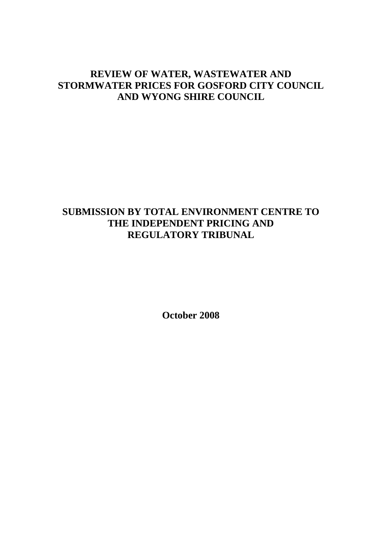# **REVIEW OF WATER, WASTEWATER AND STORMWATER PRICES FOR GOSFORD CITY COUNCIL AND WYONG SHIRE COUNCIL**

# **SUBMISSION BY TOTAL ENVIRONMENT CENTRE TO THE INDEPENDENT PRICING AND REGULATORY TRIBUNAL**

**October 2008**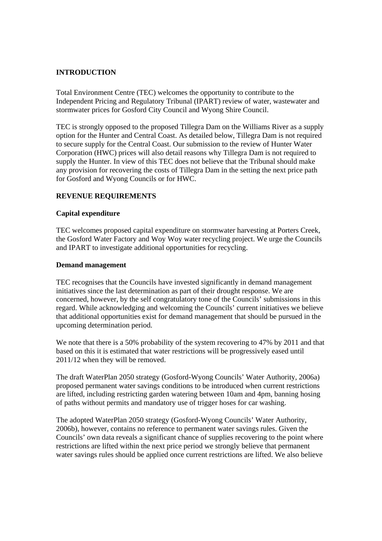# **INTRODUCTION**

Total Environment Centre (TEC) welcomes the opportunity to contribute to the Independent Pricing and Regulatory Tribunal (IPART) review of water, wastewater and stormwater prices for Gosford City Council and Wyong Shire Council.

TEC is strongly opposed to the proposed Tillegra Dam on the Williams River as a supply option for the Hunter and Central Coast. As detailed below, Tillegra Dam is not required to secure supply for the Central Coast. Our submission to the review of Hunter Water Corporation (HWC) prices will also detail reasons why Tillegra Dam is not required to supply the Hunter. In view of this TEC does not believe that the Tribunal should make any provision for recovering the costs of Tillegra Dam in the setting the next price path for Gosford and Wyong Councils or for HWC.

# **REVENUE REQUIREMENTS**

#### **Capital expenditure**

TEC welcomes proposed capital expenditure on stormwater harvesting at Porters Creek, the Gosford Water Factory and Woy Woy water recycling project. We urge the Councils and IPART to investigate additional opportunities for recycling.

#### **Demand management**

TEC recognises that the Councils have invested significantly in demand management initiatives since the last determination as part of their drought response. We are concerned, however, by the self congratulatory tone of the Councils' submissions in this regard. While acknowledging and welcoming the Councils' current initiatives we believe that additional opportunities exist for demand management that should be pursued in the upcoming determination period.

We note that there is a 50% probability of the system recovering to 47% by 2011 and that based on this it is estimated that water restrictions will be progressively eased until 2011/12 when they will be removed.

The draft WaterPlan 2050 strategy (Gosford-Wyong Councils' Water Authority, 2006a) proposed permanent water savings conditions to be introduced when current restrictions are lifted, including restricting garden watering between 10am and 4pm, banning hosing of paths without permits and mandatory use of trigger hoses for car washing.

The adopted WaterPlan 2050 strategy (Gosford-Wyong Councils' Water Authority, 2006b), however, contains no reference to permanent water savings rules. Given the Councils' own data reveals a significant chance of supplies recovering to the point where restrictions are lifted within the next price period we strongly believe that permanent water savings rules should be applied once current restrictions are lifted. We also believe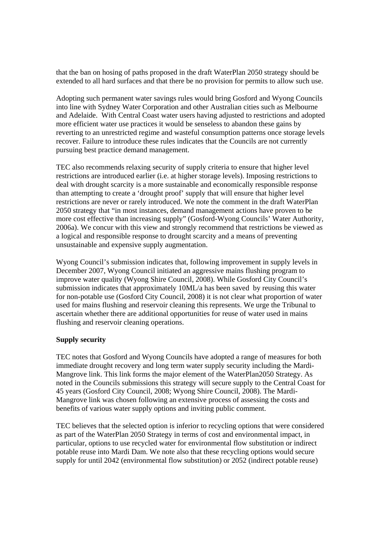that the ban on hosing of paths proposed in the draft WaterPlan 2050 strategy should be extended to all hard surfaces and that there be no provision for permits to allow such use.

Adopting such permanent water savings rules would bring Gosford and Wyong Councils into line with Sydney Water Corporation and other Australian cities such as Melbourne and Adelaide. With Central Coast water users having adjusted to restrictions and adopted more efficient water use practices it would be senseless to abandon these gains by reverting to an unrestricted regime and wasteful consumption patterns once storage levels recover. Failure to introduce these rules indicates that the Councils are not currently pursuing best practice demand management.

TEC also recommends relaxing security of supply criteria to ensure that higher level restrictions are introduced earlier (i.e. at higher storage levels). Imposing restrictions to deal with drought scarcity is a more sustainable and economically responsible response than attempting to create a 'drought proof' supply that will ensure that higher level restrictions are never or rarely introduced. We note the comment in the draft WaterPlan 2050 strategy that "in most instances, demand management actions have proven to be more cost effective than increasing supply" (Gosford-Wyong Councils' Water Authority, 2006a). We concur with this view and strongly recommend that restrictions be viewed as a logical and responsible response to drought scarcity and a means of preventing unsustainable and expensive supply augmentation.

Wyong Council's submission indicates that, following improvement in supply levels in December 2007, Wyong Council initiated an aggressive mains flushing program to improve water quality (Wyong Shire Council, 2008). While Gosford City Council's submission indicates that approximately 10ML/a has been saved by reusing this water for non-potable use (Gosford City Council, 2008) it is not clear what proportion of water used for mains flushing and reservoir cleaning this represents. We urge the Tribunal to ascertain whether there are additional opportunities for reuse of water used in mains flushing and reservoir cleaning operations.

# **Supply security**

TEC notes that Gosford and Wyong Councils have adopted a range of measures for both immediate drought recovery and long term water supply security including the Mardi-Mangrove link. This link forms the major element of the WaterPlan2050 Strategy. As noted in the Councils submissions this strategy will secure supply to the Central Coast for 45 years (Gosford City Council, 2008; Wyong Shire Council, 2008). The Mardi-Mangrove link was chosen following an extensive process of assessing the costs and benefits of various water supply options and inviting public comment.

TEC believes that the selected option is inferior to recycling options that were considered as part of the WaterPlan 2050 Strategy in terms of cost and environmental impact, in particular, options to use recycled water for environmental flow substitution or indirect potable reuse into Mardi Dam. We note also that these recycling options would secure supply for until 2042 (environmental flow substitution) or 2052 (indirect potable reuse)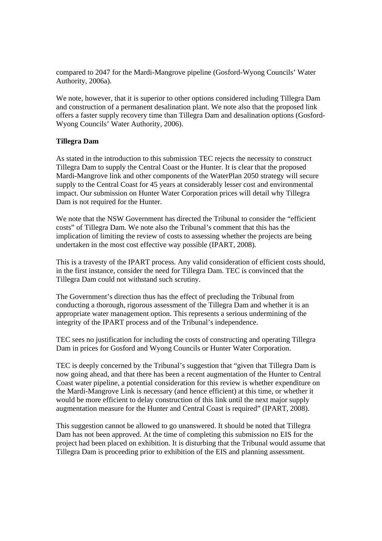compared to 2047 for the Mardi-Mangrove pipeline (Gosford-Wyong Councils' Water Authority, 2006a).

We note, however, that it is superior to other options considered including Tillegra Dam and construction of a permanent desalination plant. We note also that the proposed link offers a faster supply recovery time than Tillegra Dam and desalination options (Gosford-Wyong Councils' Water Authority, 2006).

# **Tillegra Dam**

As stated in the introduction to this submission TEC rejects the necessity to construct Tillegra Dam to supply the Central Coast or the Hunter. It is clear that the proposed Mardi-Mangrove link and other components of the WaterPlan 2050 strategy will secure supply to the Central Coast for 45 years at considerably lesser cost and environmental impact. Our submission on Hunter Water Corporation prices will detail why Tillegra Dam is not required for the Hunter.

We note that the NSW Government has directed the Tribunal to consider the "efficient costs" of Tillegra Dam. We note also the Tribunal's comment that this has the implication of limiting the review of costs to assessing whether the projects are being undertaken in the most cost effective way possible (IPART, 2008).

This is a travesty of the IPART process. Any valid consideration of efficient costs should, in the first instance, consider the need for Tillegra Dam. TEC is convinced that the Tillegra Dam could not withstand such scrutiny.

The Government's direction thus has the effect of precluding the Tribunal from conducting a thorough, rigorous assessment of the Tillegra Dam and whether it is an appropriate water management option. This represents a serious undermining of the integrity of the IPART process and of the Tribunal's independence.

TEC sees no justification for including the costs of constructing and operating Tillegra Dam in prices for Gosford and Wyong Councils or Hunter Water Corporation.

TEC is deeply concerned by the Tribunal's suggestion that "given that Tillegra Dam is now going ahead, and that there has been a recent augmentation of the Hunter to Central Coast water pipeline, a potential consideration for this review is whether expenditure on the Mardi-Mangrove Link is necessary (and hence efficient) at this time, or whether it would be more efficient to delay construction of this link until the next major supply augmentation measure for the Hunter and Central Coast is required" (IPART, 2008).

This suggestion cannot be allowed to go unanswered. It should be noted that Tillegra Dam has not been approved. At the time of completing this submission no EIS for the project had been placed on exhibition. It is disturbing that the Tribunal would assume that Tillegra Dam is proceeding prior to exhibition of the EIS and planning assessment.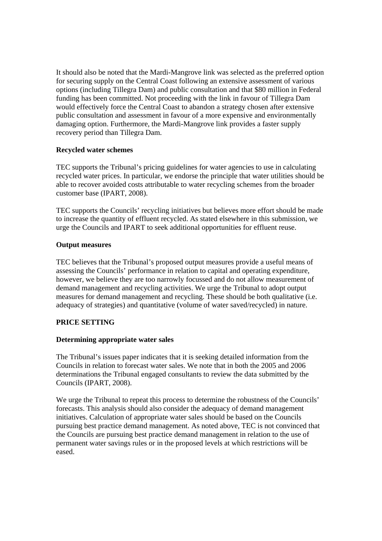It should also be noted that the Mardi-Mangrove link was selected as the preferred option for securing supply on the Central Coast following an extensive assessment of various options (including Tillegra Dam) and public consultation and that \$80 million in Federal funding has been committed. Not proceeding with the link in favour of Tillegra Dam would effectively force the Central Coast to abandon a strategy chosen after extensive public consultation and assessment in favour of a more expensive and environmentally damaging option. Furthermore, the Mardi-Mangrove link provides a faster supply recovery period than Tillegra Dam.

# **Recycled water schemes**

TEC supports the Tribunal's pricing guidelines for water agencies to use in calculating recycled water prices. In particular, we endorse the principle that water utilities should be able to recover avoided costs attributable to water recycling schemes from the broader customer base (IPART, 2008).

TEC supports the Councils' recycling initiatives but believes more effort should be made to increase the quantity of effluent recycled. As stated elsewhere in this submission, we urge the Councils and IPART to seek additional opportunities for effluent reuse.

# **Output measures**

TEC believes that the Tribunal's proposed output measures provide a useful means of assessing the Councils' performance in relation to capital and operating expenditure, however, we believe they are too narrowly focussed and do not allow measurement of demand management and recycling activities. We urge the Tribunal to adopt output measures for demand management and recycling. These should be both qualitative (i.e. adequacy of strategies) and quantitative (volume of water saved/recycled) in nature.

# **PRICE SETTING**

# **Determining appropriate water sales**

The Tribunal's issues paper indicates that it is seeking detailed information from the Councils in relation to forecast water sales. We note that in both the 2005 and 2006 determinations the Tribunal engaged consultants to review the data submitted by the Councils (IPART, 2008).

We urge the Tribunal to repeat this process to determine the robustness of the Councils' forecasts. This analysis should also consider the adequacy of demand management initiatives. Calculation of appropriate water sales should be based on the Councils pursuing best practice demand management. As noted above, TEC is not convinced that the Councils are pursuing best practice demand management in relation to the use of permanent water savings rules or in the proposed levels at which restrictions will be eased.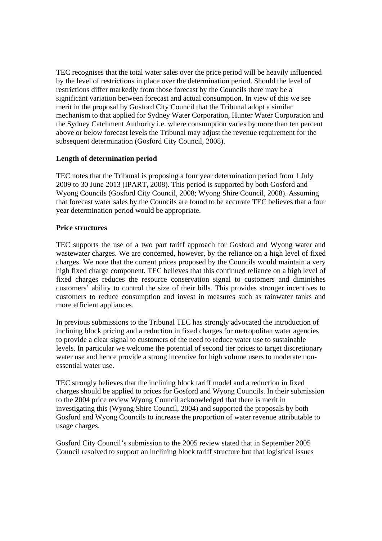TEC recognises that the total water sales over the price period will be heavily influenced by the level of restrictions in place over the determination period. Should the level of restrictions differ markedly from those forecast by the Councils there may be a significant variation between forecast and actual consumption. In view of this we see merit in the proposal by Gosford City Council that the Tribunal adopt a similar mechanism to that applied for Sydney Water Corporation, Hunter Water Corporation and the Sydney Catchment Authority i.e. where consumption varies by more than ten percent above or below forecast levels the Tribunal may adjust the revenue requirement for the subsequent determination (Gosford City Council, 2008).

# **Length of determination period**

TEC notes that the Tribunal is proposing a four year determination period from 1 July 2009 to 30 June 2013 (IPART, 2008). This period is supported by both Gosford and Wyong Councils (Gosford City Council, 2008; Wyong Shire Council, 2008). Assuming that forecast water sales by the Councils are found to be accurate TEC believes that a four year determination period would be appropriate.

# **Price structures**

TEC supports the use of a two part tariff approach for Gosford and Wyong water and wastewater charges. We are concerned, however, by the reliance on a high level of fixed charges. We note that the current prices proposed by the Councils would maintain a very high fixed charge component. TEC believes that this continued reliance on a high level of fixed charges reduces the resource conservation signal to customers and diminishes customers' ability to control the size of their bills. This provides stronger incentives to customers to reduce consumption and invest in measures such as rainwater tanks and more efficient appliances.

In previous submissions to the Tribunal TEC has strongly advocated the introduction of inclining block pricing and a reduction in fixed charges for metropolitan water agencies to provide a clear signal to customers of the need to reduce water use to sustainable levels. In particular we welcome the potential of second tier prices to target discretionary water use and hence provide a strong incentive for high volume users to moderate nonessential water use.

TEC strongly believes that the inclining block tariff model and a reduction in fixed charges should be applied to prices for Gosford and Wyong Councils. In their submission to the 2004 price review Wyong Council acknowledged that there is merit in investigating this (Wyong Shire Council, 2004) and supported the proposals by both Gosford and Wyong Councils to increase the proportion of water revenue attributable to usage charges.

Gosford City Council's submission to the 2005 review stated that in September 2005 Council resolved to support an inclining block tariff structure but that logistical issues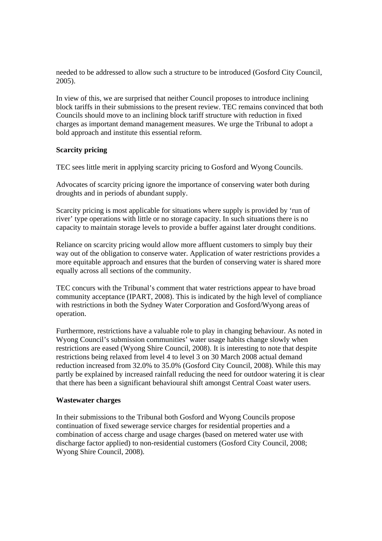needed to be addressed to allow such a structure to be introduced (Gosford City Council, 2005).

In view of this, we are surprised that neither Council proposes to introduce inclining block tariffs in their submissions to the present review. TEC remains convinced that both Councils should move to an inclining block tariff structure with reduction in fixed charges as important demand management measures. We urge the Tribunal to adopt a bold approach and institute this essential reform.

# **Scarcity pricing**

TEC sees little merit in applying scarcity pricing to Gosford and Wyong Councils.

Advocates of scarcity pricing ignore the importance of conserving water both during droughts and in periods of abundant supply.

Scarcity pricing is most applicable for situations where supply is provided by 'run of river' type operations with little or no storage capacity. In such situations there is no capacity to maintain storage levels to provide a buffer against later drought conditions.

Reliance on scarcity pricing would allow more affluent customers to simply buy their way out of the obligation to conserve water. Application of water restrictions provides a more equitable approach and ensures that the burden of conserving water is shared more equally across all sections of the community.

TEC concurs with the Tribunal's comment that water restrictions appear to have broad community acceptance (IPART, 2008). This is indicated by the high level of compliance with restrictions in both the Sydney Water Corporation and Gosford/Wyong areas of operation.

Furthermore, restrictions have a valuable role to play in changing behaviour. As noted in Wyong Council's submission communities' water usage habits change slowly when restrictions are eased (Wyong Shire Council, 2008). It is interesting to note that despite restrictions being relaxed from level 4 to level 3 on 30 March 2008 actual demand reduction increased from 32.0% to 35.0% (Gosford City Council, 2008). While this may partly be explained by increased rainfall reducing the need for outdoor watering it is clear that there has been a significant behavioural shift amongst Central Coast water users.

# **Wastewater charges**

In their submissions to the Tribunal both Gosford and Wyong Councils propose continuation of fixed sewerage service charges for residential properties and a combination of access charge and usage charges (based on metered water use with discharge factor applied) to non-residential customers (Gosford City Council, 2008; Wyong Shire Council, 2008).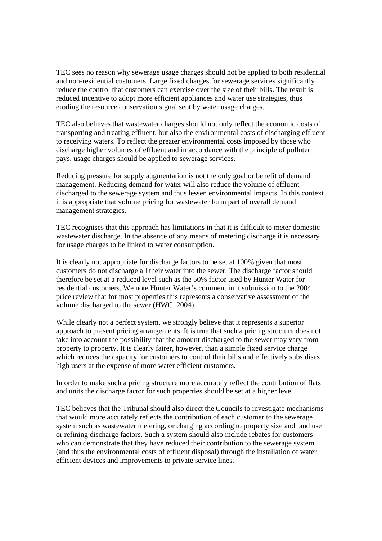TEC sees no reason why sewerage usage charges should not be applied to both residential and non-residential customers. Large fixed charges for sewerage services significantly reduce the control that customers can exercise over the size of their bills. The result is reduced incentive to adopt more efficient appliances and water use strategies, thus eroding the resource conservation signal sent by water usage charges.

TEC also believes that wastewater charges should not only reflect the economic costs of transporting and treating effluent, but also the environmental costs of discharging effluent to receiving waters. To reflect the greater environmental costs imposed by those who discharge higher volumes of effluent and in accordance with the principle of polluter pays, usage charges should be applied to sewerage services.

Reducing pressure for supply augmentation is not the only goal or benefit of demand management. Reducing demand for water will also reduce the volume of effluent discharged to the sewerage system and thus lessen environmental impacts. In this context it is appropriate that volume pricing for wastewater form part of overall demand management strategies.

TEC recognises that this approach has limitations in that it is difficult to meter domestic wastewater discharge. In the absence of any means of metering discharge it is necessary for usage charges to be linked to water consumption.

It is clearly not appropriate for discharge factors to be set at 100% given that most customers do not discharge all their water into the sewer. The discharge factor should therefore be set at a reduced level such as the 50% factor used by Hunter Water for residential customers. We note Hunter Water's comment in it submission to the 2004 price review that for most properties this represents a conservative assessment of the volume discharged to the sewer (HWC, 2004).

While clearly not a perfect system, we strongly believe that it represents a superior approach to present pricing arrangements. It is true that such a pricing structure does not take into account the possibility that the amount discharged to the sewer may vary from property to property. It is clearly fairer, however, than a simple fixed service charge which reduces the capacity for customers to control their bills and effectively subsidises high users at the expense of more water efficient customers.

In order to make such a pricing structure more accurately reflect the contribution of flats and units the discharge factor for such properties should be set at a higher level

TEC believes that the Tribunal should also direct the Councils to investigate mechanisms that would more accurately reflects the contribution of each customer to the sewerage system such as wastewater metering, or charging according to property size and land use or refining discharge factors. Such a system should also include rebates for customers who can demonstrate that they have reduced their contribution to the sewerage system (and thus the environmental costs of effluent disposal) through the installation of water efficient devices and improvements to private service lines.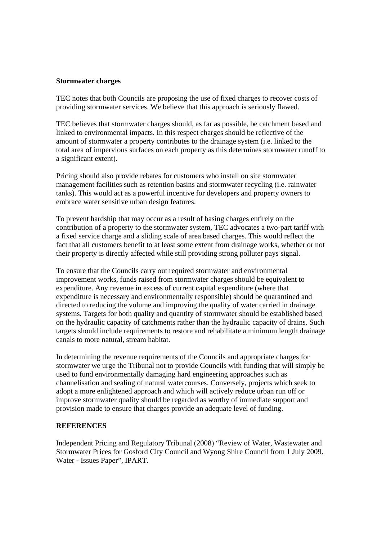#### **Stormwater charges**

TEC notes that both Councils are proposing the use of fixed charges to recover costs of providing stormwater services. We believe that this approach is seriously flawed.

TEC believes that stormwater charges should, as far as possible, be catchment based and linked to environmental impacts. In this respect charges should be reflective of the amount of stormwater a property contributes to the drainage system (i.e. linked to the total area of impervious surfaces on each property as this determines stormwater runoff to a significant extent).

Pricing should also provide rebates for customers who install on site stormwater management facilities such as retention basins and stormwater recycling (i.e. rainwater tanks). This would act as a powerful incentive for developers and property owners to embrace water sensitive urban design features.

To prevent hardship that may occur as a result of basing charges entirely on the contribution of a property to the stormwater system, TEC advocates a two-part tariff with a fixed service charge and a sliding scale of area based charges. This would reflect the fact that all customers benefit to at least some extent from drainage works, whether or not their property is directly affected while still providing strong polluter pays signal.

To ensure that the Councils carry out required stormwater and environmental improvement works, funds raised from stormwater charges should be equivalent to expenditure. Any revenue in excess of current capital expenditure (where that expenditure is necessary and environmentally responsible) should be quarantined and directed to reducing the volume and improving the quality of water carried in drainage systems. Targets for both quality and quantity of stormwater should be established based on the hydraulic capacity of catchments rather than the hydraulic capacity of drains. Such targets should include requirements to restore and rehabilitate a minimum length drainage canals to more natural, stream habitat.

In determining the revenue requirements of the Councils and appropriate charges for stormwater we urge the Tribunal not to provide Councils with funding that will simply be used to fund environmentally damaging hard engineering approaches such as channelisation and sealing of natural watercourses. Conversely, projects which seek to adopt a more enlightened approach and which will actively reduce urban run off or improve stormwater quality should be regarded as worthy of immediate support and provision made to ensure that charges provide an adequate level of funding.

# **REFERENCES**

Independent Pricing and Regulatory Tribunal (2008) "Review of Water, Wastewater and Stormwater Prices for Gosford City Council and Wyong Shire Council from 1 July 2009. Water - Issues Paper", IPART.